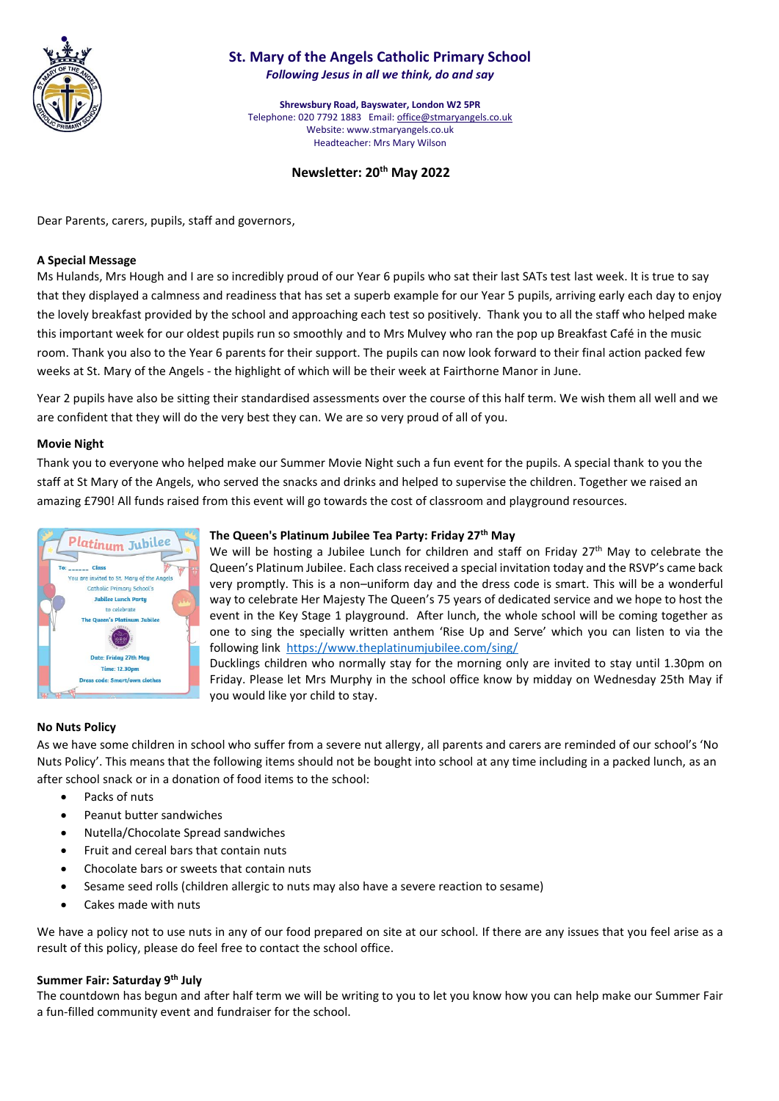

# **St. Mary of the Angels Catholic Primary School** *Following Jesus in all we think, do and say*

**Shrewsbury Road, Bayswater, London W2 5PR** Telephone: 020 7792 1883 Email[: office@stmaryangels.co.uk](mailto:office@stmaryangels.co.uk) Website: www.stmaryangels.co.uk Headteacher: Mrs Mary Wilson

# **Newsletter: 20th May 2022**

Dear Parents, carers, pupils, staff and governors,

#### **A Special Message**

Ms Hulands, Mrs Hough and I are so incredibly proud of our Year 6 pupils who sat their last SATs test last week. It is true to say that they displayed a calmness and readiness that has set a superb example for our Year 5 pupils, arriving early each day to enjoy the lovely breakfast provided by the school and approaching each test so positively. Thank you to all the staff who helped make this important week for our oldest pupils run so smoothly and to Mrs Mulvey who ran the pop up Breakfast Café in the music room. Thank you also to the Year 6 parents for their support. The pupils can now look forward to their final action packed few weeks at St. Mary of the Angels - the highlight of which will be their week at Fairthorne Manor in June.

Year 2 pupils have also be sitting their standardised assessments over the course of this half term. We wish them all well and we are confident that they will do the very best they can. We are so very proud of all of you.

#### **Movie Night**

Thank you to everyone who helped make our Summer Movie Night such a fun event for the pupils. A special thank to you the staff at St Mary of the Angels, who served the snacks and drinks and helped to supervise the children. Together we raised an amazing £790! All funds raised from this event will go towards the cost of classroom and playground resources.



# **The Queen's Platinum Jubilee Tea Party: Friday 27th May**

We will be hosting a Jubilee Lunch for children and staff on Friday 27<sup>th</sup> May to celebrate the Queen's Platinum Jubilee. Each class received a special invitation today and the RSVP's came back very promptly. This is a non–uniform day and the dress code is smart. This will be a wonderful way to celebrate Her Majesty The Queen's 75 years of dedicated service and we hope to host the event in the Key Stage 1 playground. After lunch, the whole school will be coming together as one to sing the specially written anthem 'Rise Up and Serve' which you can listen to via the following link <https://www.theplatinumjubilee.com/sing/>

Ducklings children who normally stay for the morning only are invited to stay until 1.30pm on Friday. Please let Mrs Murphy in the school office know by midday on Wednesday 25th May if you would like yor child to stay.

# **No Nuts Policy**

As we have some children in school who suffer from a severe nut allergy, all parents and carers are reminded of our school's 'No Nuts Policy'. This means that the following items should not be bought into school at any time including in a packed lunch, as an after school snack or in a donation of food items to the school:

- Packs of nuts
- Peanut butter sandwiches
- Nutella/Chocolate Spread sandwiches
- Fruit and cereal bars that contain nuts
- Chocolate bars or sweets that contain nuts
- Sesame seed rolls (children allergic to nuts may also have a severe reaction to sesame)
- Cakes made with nuts

We have a policy not to use nuts in any of our food prepared on site at our school. If there are any issues that you feel arise as a result of this policy, please do feel free to contact the school office.

# **Summer Fair: Saturday 9th July**

The countdown has begun and after half term we will be writing to you to let you know how you can help make our Summer Fair a fun-filled community event and fundraiser for the school.